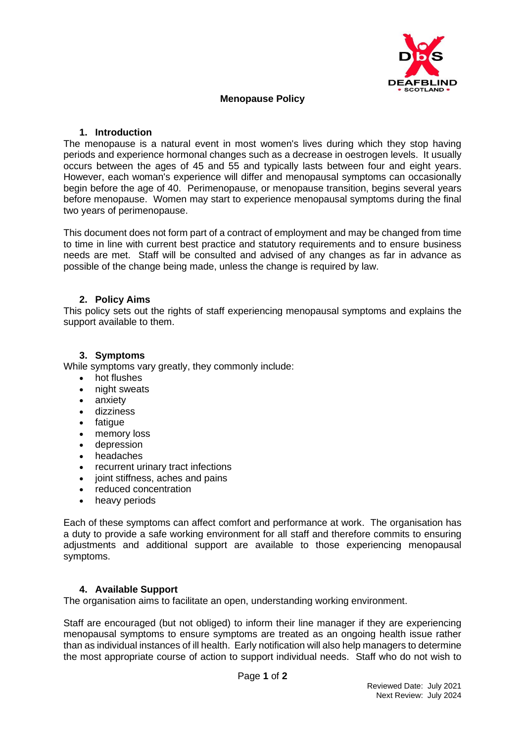

## **Menopause Policy**

### **1. Introduction**

The menopause is a natural event in most women's lives during which they stop having periods and experience hormonal changes such as a decrease in oestrogen levels. It usually occurs between the ages of 45 and 55 and typically lasts between four and eight years. However, each woman's experience will differ and menopausal symptoms can occasionally begin before the age of 40. Perimenopause, or menopause transition, begins several years before menopause. Women may start to experience menopausal symptoms during the final two years of perimenopause.

This document does not form part of a contract of employment and may be changed from time to time in line with current best practice and statutory requirements and to ensure business needs are met. Staff will be consulted and advised of any changes as far in advance as possible of the change being made, unless the change is required by law.

### **2. Policy Aims**

This policy sets out the rights of staff experiencing menopausal symptoms and explains the support available to them.

#### **3. Symptoms**

While symptoms vary greatly, they commonly include:

- hot flushes
- night sweats
- anxiety
- dizziness
- fatigue
- memory loss
- depression
- headaches
- recurrent urinary tract infections
- joint stiffness, aches and pains
- reduced concentration
- heavy periods

Each of these symptoms can affect comfort and performance at work. The organisation has a duty to provide a safe working environment for all staff and therefore commits to ensuring adjustments and additional support are available to those experiencing menopausal symptoms.

### **4. Available Support**

The organisation aims to facilitate an open, understanding working environment.

Staff are encouraged (but not obliged) to inform their line manager if they are experiencing menopausal symptoms to ensure symptoms are treated as an ongoing health issue rather than as individual instances of ill health. Early notification will also help managers to determine the most appropriate course of action to support individual needs. Staff who do not wish to